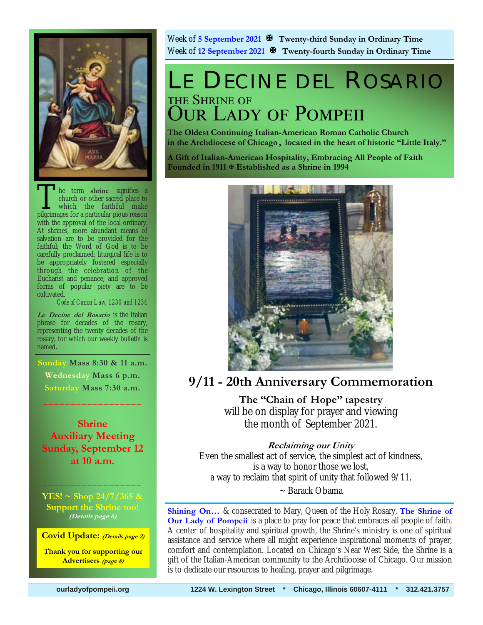

The term shrine signifies a<br>church or other sacred place to<br>which the faithful make<br>pilgrimages for a particular pious reason church or other sacred place to which the faithful make pilgrimages for a particular pious reason with the approval of the local ordinary. At shrines, more abundant means of salvation are to be provided for the faithful; the Word of God is to be carefully proclaimed; liturgical life is to be appropriately fostered especially through the celebration of the Eucharist and penance; and approved forms of popular piety are to be cultivated.

*Code of Canon Law, 1230 and 1234* 

**Le Decine del Rosario** is the Italian phrase for decades of the rosary, representing the twenty decades of the rosary, for which our weekly bulletin is named.

**Sunday Mass 8:30 & 11 a.m. Wednesday Mass 6 p.m. Saturday Mass 7:30 a.m.** 

 $\frac{1}{2}$  ,  $\frac{1}{2}$  ,  $\frac{1}{2}$  ,  $\frac{1}{2}$  ,  $\frac{1}{2}$  ,  $\frac{1}{2}$  ,  $\frac{1}{2}$  ,  $\frac{1}{2}$ 

**Shrine Auxiliary Meeting Sunday, September 12 at 10 a.m.**

**YES! ~ Shop 24/7/365 & Support the Shrine too! (Details page 6)**

 $\frac{1}{2}$  ,  $\frac{1}{2}$  ,  $\frac{1}{2}$  ,  $\frac{1}{2}$  ,  $\frac{1}{2}$  ,  $\frac{1}{2}$  ,  $\frac{1}{2}$  ,  $\frac{1}{2}$  ,  $\frac{1}{2}$ 

**Covid Update: (Details page 2)** 

**Thank you for supporting our Advertisers (page 8)**

Week of **5 September 2021 Twenty-third Sunday in Ordinary Time** Week of **12 September 2021 Twenty-fourth Sunday in Ordinary Time** 

## LE DECINE DEL ROSARIO THE SHRINE OF **OUR LADY OF POMPEII**

**The Oldest Continuing Italian-American Roman Catholic Church in the Archdiocese of Chicago , located in the heart of historic "Little Italy."** 

**A Gift of Italian-American Hospitality, Embracing All People of Faith Founded in 1911 Established as a Shrine in 1994**



**9/11 - 20th Anniversary Commemoration** 

**The "Chain of Hope" tapestry**  will be on display for prayer and viewing the month of September 2021.

## **Reclaiming our Unity**

Even the smallest act of service, the simplest act of kindness, is a way to honor those we lost, a way to reclaim that spirit of unity that followed 9/11. ~ Barack Obama

**Shining On…** & consecrated to Mary, Queen of the Holy Rosary, **The Shrine of Our Lady of Pompeii** is a place to pray for peace that embraces all people of faith. A center of hospitality and spiritual growth, the Shrine's ministry is one of spiritual assistance and service where all might experience inspirational moments of prayer, comfort and contemplation. Located on Chicago's Near West Side, the Shrine is a gift of the Italian-American community to the Archdiocese of Chicago. Our mission is to dedicate our resources to healing, prayer and pilgrimage.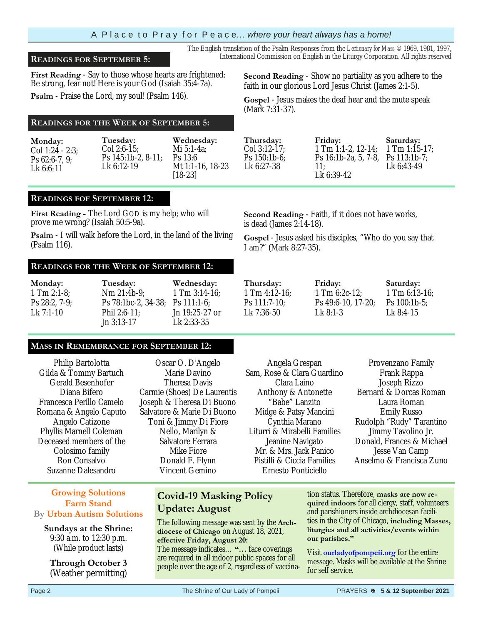## A P l a c e t o P r a y f o r P e a c e… *where your heart always has a home!*

## **READINGS FOR SEPTEMBER 5:** International Commission on English in the Liturgy Corporation. All rights reserved

**First Reading** - Say to those whose hearts are frightened: Be strong, fear not! Here is your God (Isaiah 35:4-7a).

**Psalm** - Praise the Lord, my soul! (Psalm 146).

## **READINGS FOR THE WEEK OF SEPTEMBER 5:**

| Monday:          | Tuesday:           | Wednesday:       |
|------------------|--------------------|------------------|
| Col 1:24 - 2:3:  | $Col 2:6-15$       | Mi $5:1-4a$ :    |
| Ps $62:6-7, 9$ ; | Ps 145:1b-2, 8-11; | $Ps$ 13:6        |
| $Lk$ 6:6-11      | Lk 6:12-19         | Mt 1:1-16, 18-23 |
|                  |                    | $[18-23]$        |

#### **READINGS FOF SEPTEMBER 12:**

Ĩ

**First Reading -** The Lord GOD is my help; who will prove me wrong? (Isaiah 50:5-9a).

**Psalm** - I will walk before the Lord, in the land of the living (Psalm 116).

#### **READINGS FOR THE WEEK OF SEPTEMBER 12:**

| Monday:          | Tuesday:                        | Wednesday:     |
|------------------|---------------------------------|----------------|
| $1$ Tm $2:1-8$ ; | Nm 21:4b-9:                     | 1 Tm 3:14-16:  |
| $Ps 28:2, 7-9$ ; | Ps 78:1bc-2, 34-38; Ps 111:1-6; |                |
| Lk $7:1-10$      | Phil 2:6-11:                    | Jn 19:25-27 or |
|                  | $Jn$ 3:13-17                    | Lk 2:33-35     |

#### **MASS IN REMEMBRANCE FOR SEPTEMBER 12:**

Philip Bartolotta Gilda & Tommy Bartuch Gerald Besenhofer Diana Bifero Francesca Perillo Camelo Romana & Angelo Caputo Angelo Catizone Phyllis Marnell Coleman Deceased members of the Colosimo family Ron Consalvo Suzanne Dalesandro

## **Growing Solutions Farm Stand By Urban Autism Solutions**

**Sundays at the Shrine:**  9:30 a.m. to 12:30 p.m. (While product lasts)

**Through October 3**  (Weather permitting)

Oscar O. D'Angelo Marie Davino Theresa Davis Carmie (Shoes) De Laurentis Joseph & Theresa Di Buono Salvatore & Marie Di Buono Toni & Jimmy Di Fiore Nello, Marilyn & Salvatore Ferrara Mike Fiore Donald F. Flynn Vincent Gemino

**Covid-19 Masking Policy** 

The following message was sent by the **Archdiocese of Chicago** on August 18, 2021,

The message indicates… **"…** face coverings are required in all indoor public spaces for all people over the age of 2, regardless of vaccina-

**Update: August** 

**effective Friday, August 20:** 

#### Sam, Rose & Clara Guardino Clara Laino Anthony & Antonette "Babe" Lanzito Midge & Patsy Mancini Cynthia Marano Liturri & Mirabelli Families Jeanine Navigato Mr. & Mrs. Jack Panico Pistilli & Ciccia Families Ernesto Ponticiello

Angela Grespan

tion status. Therefore, **masks are now required indoors** for all clergy, staff, volunteers and parishioners inside archdiocesan facilities in the City of Chicago, **including Masses, liturgies and all activities/events within our parishes."** 

Visit **ourladyofpompeii.org** for the entire message. Masks will be available at the Shrine for self service.

**Second Reading** - Show no partiality as you adhere to the faith in our glorious Lord Jesus Christ (James 2:1-5).

> 1 Tm 1:1-2, 12-14; Ps 16:1b-2a, 5, 7-8,

**Gospel** - Jesus makes the deaf hear and the mute speak (Mark 7:31-37).

The English translation of the Psalm Responses from the *Lectionary for Mass* © 1969, 1981, 1997,

**Second Reading** - Faith, if it does not have works,

**Friday:** 

11; Lk 6:39-42

is dead (James 2:14-18).

**Gospel** - Jesus asked his disciples, "Who do you say that I am?" (Mark 8:27-35).

**Thursday:** 1 Tm 4:12-16; Ps 111:7-10; Lk 7:36-50

**Thursday:**  Col 3:12-17; Ps 150:1b-6; Lk 6:27-38

> **Friday:**  1 Tm 6:2c-12; Ps 49:6-10, 17-20; Lk 8:1-3

**Saturday:**  1 Tm 6:13-16; Ps 100:1b-5; Lk 8:4-15

Provenzano Family Frank Rappa Joseph Rizzo Bernard & Dorcas Roman Laura Roman Emily Russo Rudolph "Rudy" Tarantino Jimmy Tavolino Jr. Donald, Frances & Michael Jesse Van Camp Anselmo & Francisca Zuno

**Saturday:**  1 Tm 1:15-17; Ps 113:1b-7; Lk 6:43-49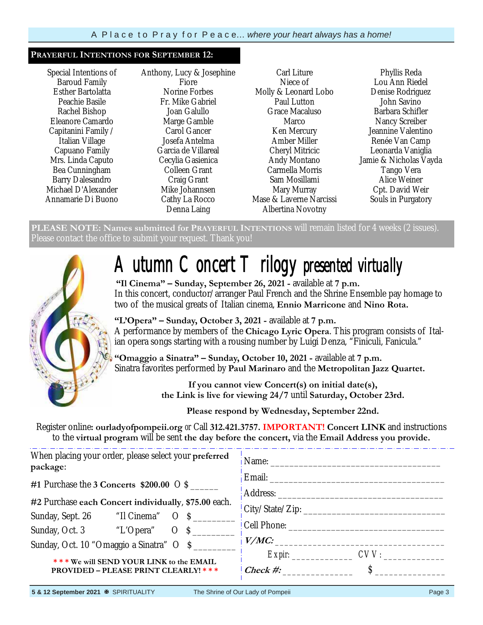#### **PRAYERFUL INTENTIONS FOR SEPTEMBER 12:**

Special Intentions of Baroud Family Esther Bartolatta Peachie Basile Rachel Bishop Eleanore Camardo Capitanini Family / Italian Village Capuano Family Mrs. Linda Caputo Bea Cunningham Barry Dalesandro Michael D'Alexander Annamarie Di Buono Anthony, Lucy & Josephine Fiore Norine Forbes Fr. Mike Gabriel Joan Galullo Marge Gamble Carol Gancer Josefa Antelma Garcia de Villareal Cecylia Gasienica Colleen Grant Craig Grant Mike Johannsen Cathy La Rocco Denna Laing

Carl Liture Niece of Molly & Leonard Lobo Paul Lutton Grace Macaluso Marco Ken Mercury Amber Miller Cheryl Mitricic Andy Montano Carmella Morris Sam Mosillami Mary Murray Mase & Laverne Narcissi Albertina Novotny

Phyllis Reda Lou Ann Riedel Denise Rodriguez John Savino Barbara Schifler Nancy Screiber Jeannine Valentino Renée Van Camp Leonarda Vaniglia Jamie & Nicholas Vayda Tango Vera Alice Weiner Cpt. David Weir Souls in Purgatory

**PLEASE NOTE: Names submitted for PRAYERFUL INTENTIONS** will remain listed for 4 weeks (2 issues). Please contact the office to submit your request. Thank you!



# *Autumn Concert Trilogy presented virtually*

**"Il Cinema" – Sunday, September 26, 2021 -** available at **7 p.m.**  In this concert, conductor/arranger Paul French and the Shrine Ensemble pay homage to two of the musical greats of Italian cinema, **Ennio Marricone** and **Nino Rota.** 

**"L'Opera" – Sunday, October 3, 2021 -** available at **7 p.m.**  A performance by members of the **Chicago Lyric Opera**. This program consists of Italian opera songs starting with a rousing number by Luigi Denza, "Finiculi, Fanicula."

**"Omaggio a Sinatra" – Sunday, October 10, 2021 -** available at **7 p.m.** Sinatra favorites performed by **Paul Marinaro** and the **Metropolitan Jazz Quartet.**

> **If you cannot view Concert(s) on initial date(s), the Link is live for viewing 24/7** until **Saturday, October 23rd.**

**Please respond by Wednesday, September 22nd.** 

Register online**: ourladyofpompeii.org** *or* Call **312.421.3757. IMPORTANT! Concert LINK** and instructions to the **virtual program** will be sent **the day before the concert,** via the **Email Address you provide.**

| When placing your order, please select your preferred<br>package: | $i$ Name:              |
|-------------------------------------------------------------------|------------------------|
| #1 Purchase the 3 Concerts $$200.00$ O S                          | Address:               |
| #2 Purchase each Concert individually, \$75.00 each.              |                        |
|                                                                   |                        |
|                                                                   | Cell Phone: _________  |
| Sunday, Oct. 10 "Omaggio a Sinatra" O \$                          | $\frac{V/M}{}$         |
| *** We will SEND YOUR LINK to the EMAIL                           | $Expir:$ $CVV:$        |
| <b>PROVIDED – PLEASE PRINT CLEARLY! ***</b>                       | $\mathcal{L}$ Check #: |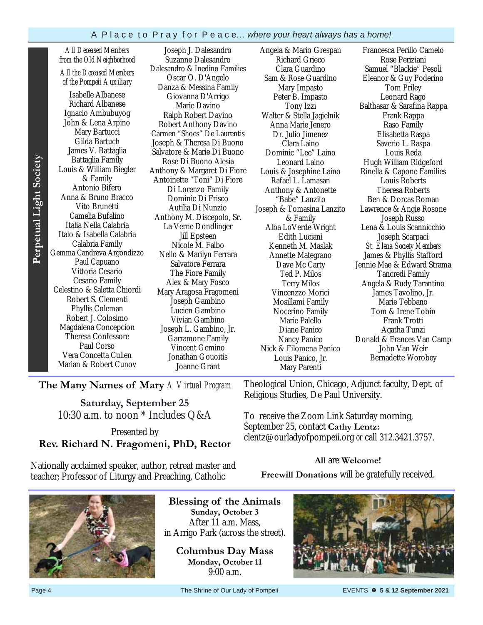*All Deceased Members from the Old Neighborhood All the Deceased Members of the Pompeii Auxiliary* 

Isabelle Albanese Richard Albanese Ignacio Ambubuyog John & Lena Arpino Mary Bartucci Gilda Bartuch James V. Battaglia Battaglia Family Louis & William Biegler & Family Antonio Bifero Anna & Bruno Bracco Vito Brunetti Camelia Bufalino Italia Nella Calabria Italo & Isabella Calabria Calabria Family Gemma Candreva Argondizzo Paul Capuano Vittoria Cesario Cesario Family Celestino & Saletta Chiordi Robert S. Clementi Phyllis Coleman Robert J. Colosimo Magdalena Concepcion Theresa Confessore Paul Corso Vera Concetta Cullen Marian & Robert Cunov

Joseph J. Dalesandro Suzanne Dalesandro Dalesandro & Inedino Families Oscar O. D'Angelo Danza & Messina Family Giovanna D'Arrigo Marie Davino Ralph Robert Davino Robert Anthony Davino Carmen "Shoes" De Laurentis Joseph & Theresa Di Buono Salvatore & Marie Di Buono Rose Di Buono Alesia Anthony & Margaret Di Fiore Antoinette "Toni" Di Fiore Di Lorenzo Family Dominic Di Frisco Autilia Di Nunzio Anthony M. Discepolo, Sr. La Verne Dondlinger Jill Epsteen Nicole M. Falbo Nello & Marilyn Ferrara Salvatore Ferrara The Fiore Family Alex & Mary Fosco Mary Aragosa Fragomeni Joseph Gambino Lucien Gambino Vivian Gambino Joseph L. Gambino, Jr. Garramone Family Vincent Gemino Jonathan Gouoitis Joanne Grant

Angela & Mario Grespan Richard Grieco Clara Guardino Sam & Rose Guardino Mary Impasto Peter B. Impasto Tony Izzi Walter & Stella Jagielnik Anna Marie Jenero Dr. Julio Jimenez Clara Laino Dominic "Lee" Laino Leonard Laino Louis & Josephine Laino Rafael L. Lamasan Anthony & Antonette "Babe" Lanzito Joseph & Tomasina Lanzito & Family Alba LoVerde Wright Edith Luciani Kenneth M. Maslak Annette Mategrano Dave Mc Carty Ted P. Milos Terry Milos Vincenzzo Morici Mosillami Family Nocerino Family Marie Palello Diane Panico Nancy Panico Nick & Filomena Panico Louis Panico, Jr. Mary Parenti

Francesca Perillo Camelo Rose Periziani Samuel "Blackie" Pesoli Eleanor & Guy Poderino Tom Priley Leonard Rago Balthasar & Sarafina Rappa Frank Rappa Raso Family Elisabetta Raspa Saverio L. Raspa Louis Reda Hugh William Ridgeford Rinella & Capone Families Louis Roberts Theresa Roberts Ben & Dorcas Roman Lawrence & Angie Rosone Joseph Russo Lena & Louis Scannicchio Joseph Scarpaci *St. Elena Society Members*  James & Phyllis Stafford Jennie Mae & Edward Strama Tancredi Family Angela & Rudy Tarantino James Tavolino, Jr. Marie Tebbano Tom & Irene Tobin Frank Trotti Agatha Tunzi Donald & Frances Van Camp John Van Weir Bernadette Worobey

**The Many Names of Mary** *A Virtual Program*

**Saturday, September 25** 10:30 a.m. to noon \* Includes Q&A

To receive the Zoom Link Saturday morning, September 25, contact **Cathy Lentz:**  clentz@ourladyofpompeii.org *or* call 312.3421.3757.

**All** are **Welcome! Freewill Donations** will be gratefully received.

Religious Studies, De Paul University.

Theological Union, Chicago, Adjunct faculty, Dept. of

Presented by **Rev. Richard N. Fragomeni, PhD, Rector** 

Nationally acclaimed speaker, author, retreat master and teacher; Professor of Liturgy and Preaching, Catholic



**Blessing of the Animals Sunday, October 3**  After 11 a.m. Mass, in Arrigo Park (across the street).

**Columbus Day Mass Monday, October 11**  9:00 a.m.



Page 4 The Shrine of Our Lady of Pompeii EVENTS **5 & 12 September 2021**

Perpetual Light Society **Perpetual Light Society**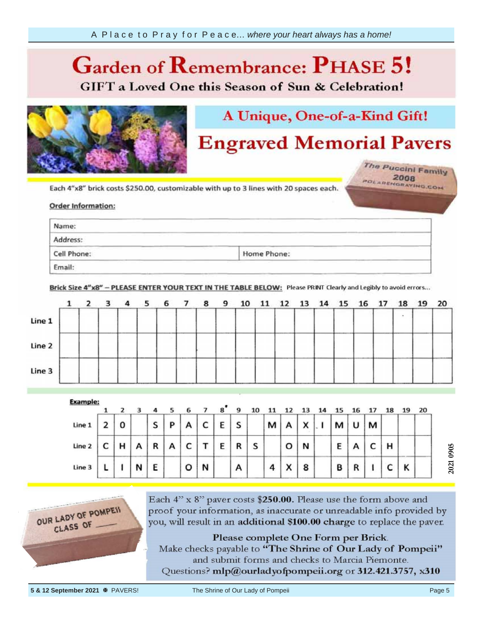## **Garden of Phase 6 C**

**GIFT** a Loved One this Season of Sun & Celebration!



## A Unique, One-of-a-Kind Gift!

# **Engraved Memorial Pavers**

The Puccini Family POLAREHORATING.COM

Each 4"x8" brick costs \$250.00, customizable with up to 3 lines with 20 spaces each.

### unreadable info **provided** information

| Name:                                                              | <b>Contract Contract</b>                                                                                                                                                                                                                                                                     |                                                                                                                                                                                                                                |
|--------------------------------------------------------------------|----------------------------------------------------------------------------------------------------------------------------------------------------------------------------------------------------------------------------------------------------------------------------------------------|--------------------------------------------------------------------------------------------------------------------------------------------------------------------------------------------------------------------------------|
| the property of the control of the control of the con-<br>Address: | and the second contract of the second contract of the second contract of the second contract of the second contract of the second contract of the second contract of the second contract of the second contract of the second<br>and the company of the company<br>and the second control of | the property of the control of the control of the control of the control of the control of the control of the control of the control of the control of the control of the control of the control of the control of the control |
| and the company's property of the<br>Cell Phone:                   | and the state of the control of the control of the control of the control of the control of the control of the<br><b>The Common Common</b><br>_____<br>Home Phone:                                                                                                                           | and the property of the con-                                                                                                                                                                                                   |

Brick Size 4"x8" - PLEASE ENTER YOUR TEXT IN THE TABLE BELOW: Please PRINT Clearly and Legibly to avoid errors...



|        |   |   | 4 |   | 6 |   | $\mathbf{g}^{\bullet}$ | 9 | 10 |                |   |              |   |   |   | 19 | 20 |
|--------|---|---|---|---|---|---|------------------------|---|----|----------------|---|--------------|---|---|---|----|----|
| Line 1 | 0 |   | s | P | А | c | E                      | S |    | м              | А | $\checkmark$ | м | U |   |    |    |
| Line 2 | н | А | R | A | c |   | E                      | R | S  |                | o | N            | Ε | n | н |    |    |
| Line 3 |   | N | E |   | o | И |                        | А |    | $\overline{a}$ | x | 8            | B | n |   | Κ  |    |





Each 4" x 8" paver costs \$250.00. Please use the form above and proof your information, as inaccurate or unreadable info provided by you, will result in an additional \$100.00 charge to replace the paver.

Please complete One Form per Brick.

Make checks payable to "The Shrine of Our Lady of Pompeii" and submit forms and checks to Marcia Piemonte.

Questions? mlp@ourladyofpompeii.org or 312.421.3757, x310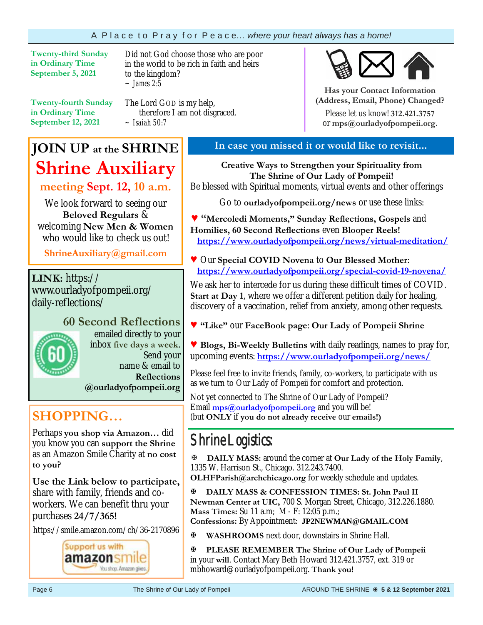**Twenty-third Sunday in Ordinary Time September 5, 2021** 

Did not God choose those who are poor in the world to be rich in faith and heirs to the kingdom? *~ James 2:5* 

**Twenty-fourth Sunday in Ordinary Time September 12, 2021**

The Lord GOD is my help, therefore I am not disgraced. *~ Isaiah 50:7*

**Has your Contact Information (Address, Email, Phone) Changed?**

Please let us know! **312.421.3757**  or **mps@ourladyofpompeii.org**.

## **JOIN UP at the SHRINE Shrine Auxiliary**

**meeting Sept. 12, 10 a.m.**

We look forward to seeing our **Beloved Regulars** & welcoming **New Men & Women**  who would like to check us out!

**ShrineAuxiliary@gmail.com**

**LINK:** https:// www.ourladyofpompeii.org/ daily-reflections/

**60 Second Reflections**  emailed directly to your inbox **five days a week**. Send your name & email to **Reflections @ourladyofpompeii.org** 

**SHOPPING…** 

Perhaps **you shop via Amazon…** did you know you can **support the Shrine**  as an Amazon Smile Charity at **no cost to you?** 

**Use the Link below to participate,** share with family, friends and coworkers. We can benefit thru your purchases **24/7/365!**

https://smile.amazon.com/ch/36-2170896



## **In case you missed it or would like to revisit...**

**Creative Ways to Strengthen your Spirituality from The Shrine of Our Lady of Pompeii!**  Be blessed with Spiritual moments, virtual events and other offerings

Go to **ourladyofpompeii.org/news** or use these links:

**♥ "Mercoledi Moments," Sunday Reflections, Gospels** and **Homilies, 60 Second Reflections** even **Blooper Reels! https://www.ourladyofpompeii.org/news/virtual-meditation/** 

**♥** Our **Special COVID Novena** to **Our Blessed Mother**:  **https://www.ourladyofpompeii.org/special-covid-19-novena/** 

We ask her to intercede for us during these difficult times of COVID. **Start at Day 1**, where we offer a different petition daily for healing, discovery of a vaccination, relief from anxiety, among other requests.

**♥ "Like"** our **FaceBook page**: **Our Lady of Pompeii Shrine** 

**♥ Blogs, Bi-Weekly Bulletins** with daily readings, names to pray for, upcoming events: **https://www.ourladyofpompeii.org/news/** 

Please feel free to invite friends, family, co-workers, to participate with us as we turn to Our Lady of Pompeii for comfort and protection.

Not yet connected to The Shrine of Our Lady of Pompeii? Email **mps@ourladyofpompeii.org** and you will be! (but **ONLY** if **you do not already receive** our **emails!)**

## Shrine Logistics:

**DAILY MASS:** around the corner at **Our Lady of the Holy Family**, 1335 W. Harrison St., Chicago. 312.243.7400.

**OLHFParish@archchicago.org** for weekly schedule and updates.

**DAILY MASS & CONFESSION TIMES: St. John Paul II Newman Center at UIC,** 700 S. Morgan Street, Chicago, 312.226.1880. **Mass Times:** Su 11 a.m; M - F: 12:05 p.m.; **Confessions:** By Appointment: **JP2NEWMAN@GMAIL.COM**

**WASHROOMS** next door, downstairs in Shrine Hall.

**PLEASE REMEMBER The Shrine of Our Lady of Pompeii**  in your **will**. Contact Mary Beth Howard 312.421.3757, ext. 319 or mbhoward@ourladyofpompeii.org. **Thank you!**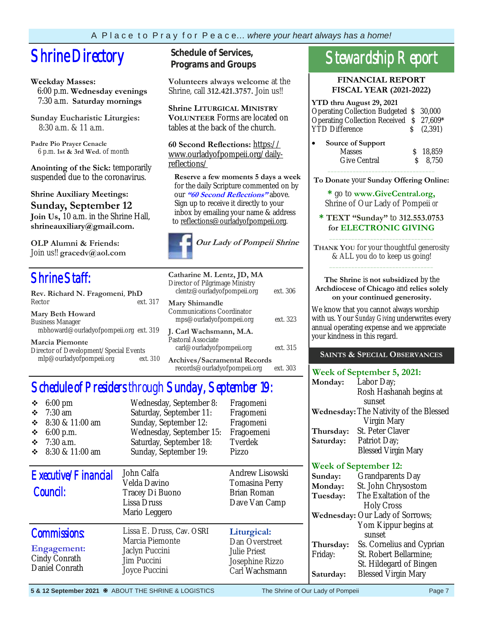# **Shrine Directory** Schedule of Services,

## **Weekday Masses:**

 6:00 p.m. **Wednesday evenings** 7:30 a.m. **Saturday mornings**

**Sunday Eucharistic Liturgies:** 8:30 a.m. & 11 a.m.

**Padre Pio Prayer Cenacle** 6 p.m. **1st & 3rd Wed.** of month

**Anointing of the Sick:** temporarily suspended due to the coronavirus.

**Shrine Auxiliary Meetings: Sunday, September 12 Join Us,** 10 a.m. in the Shrine Hall, **shrineauxiliary@gmail.com.** 

**OLP Alumni & Friends:**  Join us!! **gracedv@aol.com** 

## Shrine Staff:

| Rev. Richard N. Fragomeni, PhD                                    |          |  |  |
|-------------------------------------------------------------------|----------|--|--|
| Rector                                                            | ext. 317 |  |  |
| <b>Mary Beth Howard</b>                                           |          |  |  |
| <b>Business Manager</b><br>mbhoward@ourladyofpompeii.org ext. 319 |          |  |  |
| <b>Marcia Piemonte</b><br>Director of Development Crossial Exante |          |  |  |

Director of Development/Special Events mlp@ourladyofpompeii.org ext. 310

# **Programs and Groups**

**Volunteers always welcome** at the Shrine, call **312.421.3757.** Join us!!

**Shrine LITURGICAL MINISTRY VOLUNTEER** Forms are located on tables at the back of the church.

**60 Second Reflections:** https:// www.ourladyofpompeii.org/dailyreflections/

 **Reserve a few moments 5 days a week**  for the daily Scripture commented on by our **"60 Second Reflections"** above. Sign up to receive it directly to your inbox by emailing your name & address to reflections@ourladyofpompeii.org.



| Catharine M. Lentz, JD, MA<br>Director of Pilgrimage Ministry<br>clentz@ourladyofpompeii.org | ext. 306 |
|----------------------------------------------------------------------------------------------|----------|
| Mary Shimandle<br>Communications Coordinator<br>mps@ourladyofpompeii.org                     | ext. 323 |
| J. Carl Wachsmann, M.A.<br>Pastoral Associate<br>carl@ourladyofpompeii.org                   | ext. 315 |
| <b>Archives/Sacramental Records</b><br>records@ourladyofpompeii.org                          | ext. 303 |

## Schedule of Presiders through Sunday, September 19:

| $6:00 \text{ pm}$<br>❖<br>$7:30$ am<br>❖<br>8:30 & 11:00 am<br>❖<br>❖<br>$6:00$ p.m.<br>$7:30$ a.m.<br>❖<br>8:30 & 11:00 am<br>❖ | Wednesday, September 8:<br>Saturday, September 11:<br>Sunday, September 12:<br>Wednesday, September 15:<br>Saturday, September 18:<br>Sunday, September 19: | Fragomeni<br>Fragomeni<br>Fragomeni<br>Fragoemeni<br>Tverdek<br>Pizzo                     |
|----------------------------------------------------------------------------------------------------------------------------------|-------------------------------------------------------------------------------------------------------------------------------------------------------------|-------------------------------------------------------------------------------------------|
| Executive/Financial<br>Council:                                                                                                  | John Calfa<br>Velda Davino<br>Tracey Di Buono<br><b>Lissa Druss</b><br>Mario Leggero                                                                        | Andrew Lisowski<br>Tomasina Perry<br>Brian Roman<br>Dave Van Camp                         |
| <b>Commissions:</b><br><b>Engagement:</b><br>Cindy Conrath<br>Daniel Conrath                                                     | Lissa E. Druss, Cav. OSRI<br>Marcia Piemonte<br>Jaclyn Puccini<br>Jim Puccini<br>Joyce Puccini                                                              | Liturgical:<br>Dan Overstreet<br><b>Julie Priest</b><br>Josephine Rizzo<br>Carl Wachsmann |

## Stewardship Report

**FINANCIAL REPORT FISCAL YEAR (2021-2022)** 

## **YTD thru August 29, 2021**  Operating Collection Budgeted \$ 30,000 Operating Collection Received \$ 27,609\* YTD Difference  $\qquad \qquad$  \$ (2,391) **Source of Support**

| Source of Support |          |
|-------------------|----------|
| <b>Masses</b>     | S 18.859 |
| Give Central      | 8.750    |
|                   |          |

**To Donate** your **Sunday Offering Online:** 

**\*** go to **www.GiveCentral.org,** Shrine of Our Lady of Pompeii *or* 

**\* TEXT "Sunday"** to **312.553.0753 for ELECTRONIC GIVING** \_\_\_\_\_\_\_\_\_\_\_\_\_\_\_\_\_\_\_\_\_\_\_\_\_\_\_\_\_\_\_\_\_

**THANK YOU** for your thoughtful generosity & ALL you do to keep us going! \_\_\_\_\_\_\_\_\_\_\_\_\_\_\_\_\_\_\_\_\_\_\_\_\_\_\_\_\_\_\_\_\_

#### **The Shrine** is **not subsidized** by the **Archdiocese of Chicago** and **relies solely on your continued generosity.**

We know that you cannot always worship with us. Your *Sunday Giving* underwrites every annual operating expense and we appreciate your kindness in this regard.

## **SAINTS & SPECIAL OBSERVANCES**

## **Week of September 5, 2021:**

| Monday:   | Labor Day;                             |
|-----------|----------------------------------------|
|           | Rosh Hashanah begins at                |
|           | sunset                                 |
|           | Wednesday: The Nativity of the Blessed |
|           | Virgin Mary                            |
| Thursday: | St. Peter Claver                       |
| Saturday: | Patriot Day;                           |
|           | <b>Blessed Virgin Mary</b>             |
|           |                                        |

## **Week of September 12:**

| Sunday:   | <b>Grandparents Day</b>         |
|-----------|---------------------------------|
| Monday:   | St. John Chrysostom             |
| Tuesday:  | The Exaltation of the           |
|           | <b>Holy Cross</b>               |
|           | Wednesday: Our Lady of Sorrows; |
|           | Yom Kippur begins at            |
|           | sunset                          |
| Thursday: | Ss. Cornelius and Cyprian       |
| Friday:   | St. Robert Bellarmine;          |
|           | St. Hildegard of Bingen         |
| Saturday: | <b>Blessed Virgin Mary</b>      |